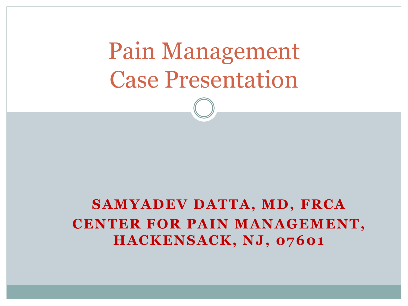# Pain Management Case Presentation

#### **SAMYADEV DATTA, MD, FRCA CENTER FOR PAIN MANAGEMENT, HACKENSACK, NJ, 07601**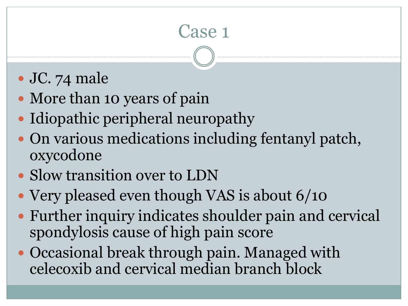#### JC. 74 male

- More than 10 years of pain
- Idiopathic peripheral neuropathy
- On various medications including fentanyl patch, oxycodone
- Slow transition over to LDN
- Very pleased even though VAS is about  $6/10$
- Further inquiry indicates shoulder pain and cervical spondylosis cause of high pain score
- Occasional break through pain. Managed with celecoxib and cervical median branch block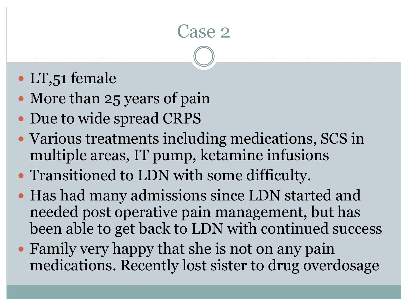#### • LT,51 female

- More than 25 years of pain
- Due to wide spread CRPS
- Various treatments including medications, SCS in multiple areas, IT pump, ketamine infusions
- Transitioned to LDN with some difficulty.
- Has had many admissions since LDN started and needed post operative pain management, but has been able to get back to LDN with continued success
- Family very happy that she is not on any pain medications. Recently lost sister to drug overdosage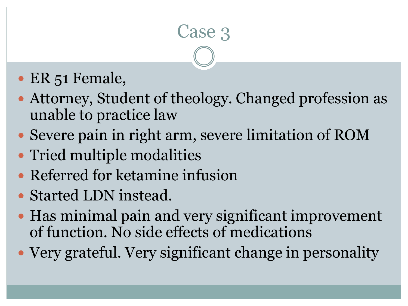#### • ER 51 Female,

- Attorney, Student of theology. Changed profession as unable to practice law
- Severe pain in right arm, severe limitation of ROM
- Tried multiple modalities
- Referred for ketamine infusion
- Started LDN instead.
- Has minimal pain and very significant improvement of function. No side effects of medications
- Very grateful. Very significant change in personality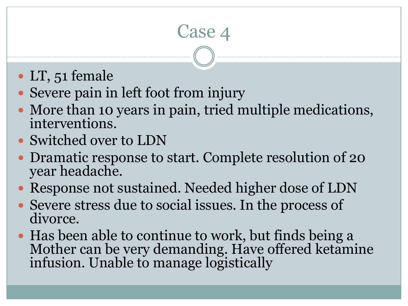- LT, 51 female
- Severe pain in left foot from injury
- More than 10 years in pain, tried multiple medications, interventions.
- Switched over to LDN
- Dramatic response to start. Complete resolution of 20 year headache.
- Response not sustained. Needed higher dose of LDN
- Severe stress due to social issues. In the process of divorce.
- Has been able to continue to work, but finds being a Mother can be very demanding. Have offered ketamine infusion. Unable to manage logistically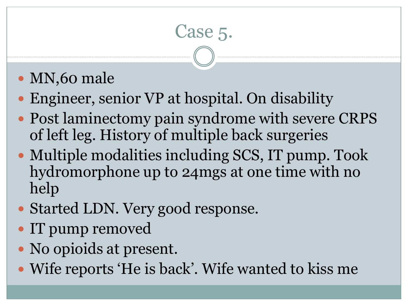## Case 5.

#### • MN,60 male

- Engineer, senior VP at hospital. On disability
- Post laminectomy pain syndrome with severe CRPS of left leg. History of multiple back surgeries
- Multiple modalities including SCS, IT pump. Took hydromorphone up to 24mgs at one time with no help
- Started LDN. Very good response.
- IT pump removed
- No opioids at present.
- Wife reports 'He is back'. Wife wanted to kiss me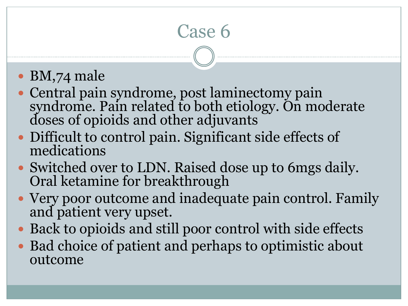#### BM,74 male

- Central pain syndrome, post laminectomy pain syndrome. Pain related to both etiology. On moderate doses of opioids and other adjuvants
- Difficult to control pain. Significant side effects of medications
- Switched over to LDN. Raised dose up to 6mgs daily. Oral ketamine for breakthrough
- Very poor outcome and inadequate pain control. Family and patient very upset.
- Back to opioids and still poor control with side effects
- Bad choice of patient and perhaps to optimistic about outcome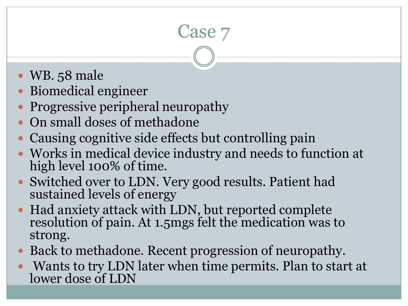- WB. 58 male
- Biomedical engineer
- Progressive peripheral neuropathy
- On small doses of methadone
- Causing cognitive side effects but controlling pain
- Works in medical device industry and needs to function at high level 100% of time.
- Switched over to LDN. Very good results. Patient had sustained levels of energy
- Had anxiety attack with LDN, but reported complete resolution of pain. At 1.5mgs felt the medication was to strong.
- Back to methadone. Recent progression of neuropathy.
- Wants to try LDN later when time permits. Plan to start at lower dose of LDN